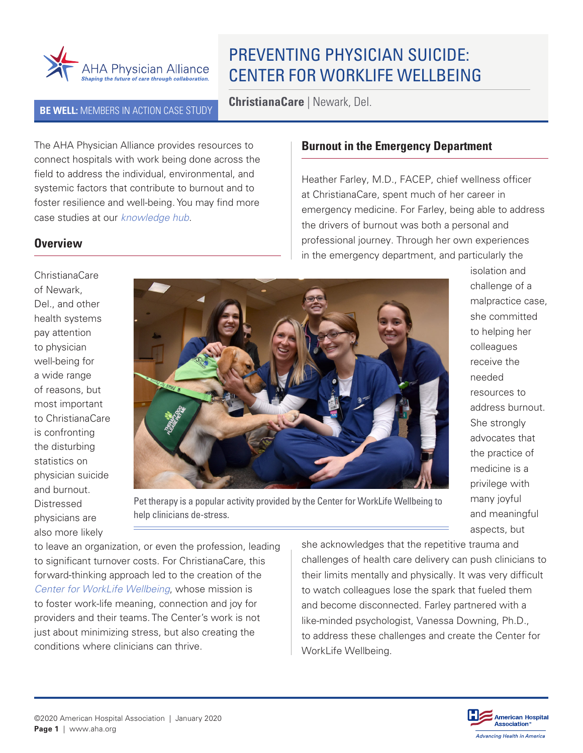

# PREVENTING PHYSICIAN SUICIDE: CENTER FOR WORKLIFE WELLBEING

**BE WELL:** MEMBERS IN ACTION CASE STUDY **ChristianaCare** | Newark, Del.

The AHA Physician Alliance provides resources to connect hospitals with work being done across the field to address the individual, environmental, and systemic factors that contribute to burnout and to foster resilience and well-being. You may find more case studies at our *[knowledge hub](http://www.ahaphysicianforum.org/resource/?content_area=resilience-and-wellbeing)*.

#### **Burnout in the Emergency Department**

Heather Farley, M.D., FACEP, chief wellness officer at ChristianaCare, spent much of her career in emergency medicine. For Farley, being able to address the drivers of burnout was both a personal and professional journey. Through her own experiences in the emergency department, and particularly the

ChristianaCare of Newark, Del., and other health systems pay attention to physician well-being for a wide range of reasons, but most important to ChristianaCare is confronting the disturbing statistics on physician suicide and burnout. Distressed physicians are also more likely

**Overview**



isolation and challenge of a malpractice case, she committed to helping her colleagues receive the needed resources to address burnout. She strongly advocates that the practice of medicine is a privilege with many joyful and meaningful aspects, but

Pet therapy is a popular activity provided by the Center for WorkLife Wellbeing to help clinicians de-stress.

to leave an organization, or even the profession, leading to significant turnover costs. For ChristianaCare, this forward-thinking approach led to the creation of the *[Center for WorkLife Wellbeing](https://christianacare.org/forhealthprofessionals/providerwellbeing/)*, whose mission is to foster work-life meaning, connection and joy for providers and their teams. The Center's work is not just about minimizing stress, but also creating the conditions where clinicians can thrive.

she acknowledges that the repetitive trauma and challenges of health care delivery can push clinicians to their limits mentally and physically. It was very difficult to watch colleagues lose the spark that fueled them and become disconnected. Farley partnered with a like-minded psychologist, Vanessa Downing, Ph.D., to address these challenges and create the [Center for](https://christianacare.org/forhealthprofessionals/providerwellbeing/)  [WorkLife Wellbeing.](https://christianacare.org/forhealthprofessionals/providerwellbeing/)

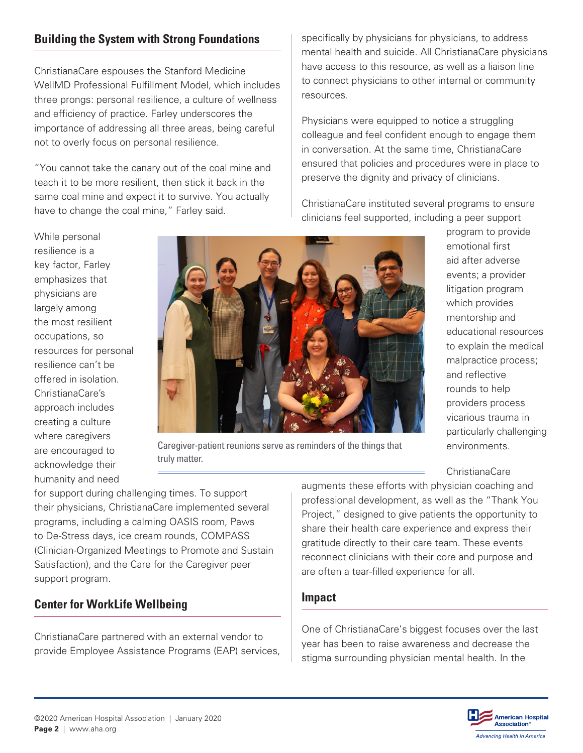# **Building the System with Strong Foundations**

ChristianaCare espouses the Stanford Medicine WellMD Professional Fulfillment Model, which includes three prongs: personal resilience, a culture of wellness and efficiency of practice. Farley underscores the importance of addressing all three areas, being careful not to overly focus on personal resilience.

"You cannot take the canary out of the coal mine and teach it to be more resilient, then stick it back in the same coal mine and expect it to survive. You actually have to change the coal mine," Farley said.

specifically by physicians for physicians, to address mental health and suicide. All ChristianaCare physicians have access to this resource, as well as a liaison line to connect physicians to other internal or community resources.

Physicians were equipped to notice a struggling colleague and feel confident enough to engage them in conversation. At the same time, ChristianaCare ensured that policies and procedures were in place to preserve the dignity and privacy of clinicians.

ChristianaCare instituted several programs to ensure clinicians feel supported, including a peer support

> program to provide emotional first aid after adverse events; a provider litigation program which provides mentorship and

educational resources to explain the medical malpractice process;

and reflective rounds to help providers process vicarious trauma in particularly challenging

environments.

While personal resilience is a key factor, Farley emphasizes that physicians are largely among the most resilient occupations, so resilience can't be offered in isolation. ChristianaCare's approach includes creating a culture where caregivers are encouraged to acknowledge their humanity and need



Caregiver-patient reunions serve as reminders of the things that truly matter.

for support during challenging times. To support their physicians, ChristianaCare implemented several programs, including a calming OASIS room, Paws to De-Stress days, ice cream rounds, COMPASS (Clinician-Organized Meetings to Promote and Sustain Satisfaction), and the Care for the Caregiver peer support program.

#### **Center for WorkLife Wellbeing**

ChristianaCare partnered with an external vendor to provide Employee Assistance Programs (EAP) services,

ChristianaCare augments these efforts with physician coaching and professional development, as well as the "Thank You Project," designed to give patients the opportunity to share their health care experience and express their gratitude directly to their care team. These events reconnect clinicians with their core and purpose and are often a tear-filled experience for all.

#### **Impact**

One of ChristianaCare's biggest focuses over the last year has been to raise awareness and decrease the stigma surrounding physician mental health. In the



©2020 American Hospital Association | January 2020 **Page 2** | www.aha.org

resources for personal